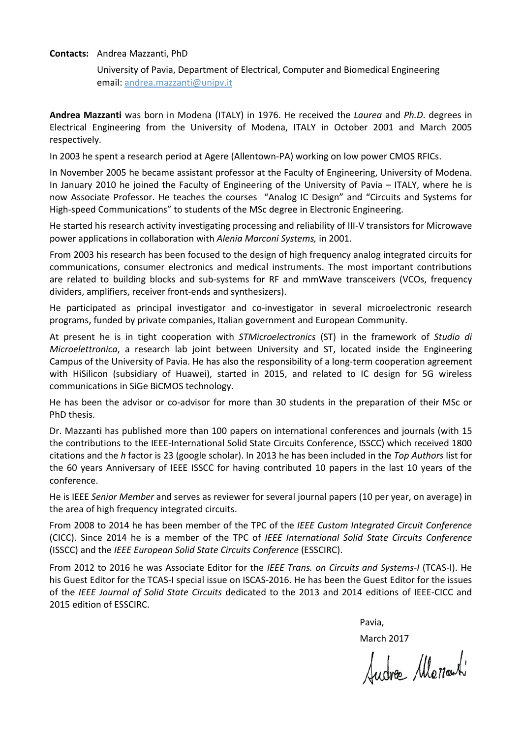## **Contacts:** Andrea Mazzanti, PhD

University of Pavia, Department of Electrical, Computer and Biomedical Engineering email: [andrea.mazzanti@unipv.it](mailto:andrea.mazzanti@unipv.it)

**Andrea Mazzanti** was born in Modena (ITALY) in 1976. He received the *Laurea* and *Ph.D*. degrees in Electrical Engineering from the University of Modena, ITALY in October 2001 and March 2005 respectively.

In 2003 he spent a research period at Agere (Allentown-PA) working on low power CMOS RFICs.

In November 2005 he became assistant professor at the Faculty of Engineering, University of Modena. In January 2010 he joined the Faculty of Engineering of the University of Pavia – ITALY, where he is now Associate Professor. He teaches the courses "Analog IC Design" and "Circuits and Systems for High-speed Communications" to students of the MSc degree in Electronic Engineering.

He started his research activity investigating processing and reliability of III-V transistors for Microwave power applications in collaboration with *Alenia Marconi Systems,* in 2001.

From 2003 his research has been focused to the design of high frequency analog integrated circuits for communications, consumer electronics and medical instruments. The most important contributions are related to building blocks and sub-systems for RF and mmWave transceivers (VCOs, frequency dividers, amplifiers, receiver front-ends and synthesizers).

He participated as principal investigator and co-investigator in several microelectronic research programs, funded by private companies, Italian government and European Community.

At present he is in tight cooperation with *STMicroelectronics* (ST) in the framework of *Studio di Microelettronica*, a research lab joint between University and ST, located inside the Engineering Campus of the University of Pavia. He has also the responsibility of a long-term cooperation agreement with HiSilicon (subsidiary of Huawei), started in 2015, and related to IC design for 5G wireless communications in SiGe BiCMOS technology.

He has been the advisor or co-advisor for more than 30 students in the preparation of their MSc or PhD thesis.

Dr. Mazzanti has published more than 100 papers on international conferences and journals (with 15 the contributions to the IEEE-International Solid State Circuits Conference, ISSCC) which received 1800 citations and the *h* factor is 23 (google scholar). In 2013 he has been included in the *Top Authors* list for the 60 years Anniversary of IEEE ISSCC for having contributed 10 papers in the last 10 years of the conference.

He is IEEE *Senior Member* and serves as reviewer for several journal papers (10 per year, on average) in the area of high frequency integrated circuits.

From 2008 to 2014 he has been member of the TPC of the *IEEE Custom Integrated Circuit Conference* (CICC). Since 2014 he is a member of the TPC of *IEEE International Solid State Circuits Conference* (ISSCC) and the *IEEE European Solid State Circuits Conference* (ESSCIRC).

From 2012 to 2016 he was Associate Editor for the *IEEE Trans. on Circuits and Systems-I* (TCAS-I). He his Guest Editor for the TCAS-I special issue on ISCAS-2016. He has been the Guest Editor for the issues of the *IEEE Journal of Solid State Circuits* dedicated to the 2013 and 2014 editions of IEEE-CICC and 2015 edition of ESSCIRC.

Pavia,

March 2017

Sudre Menach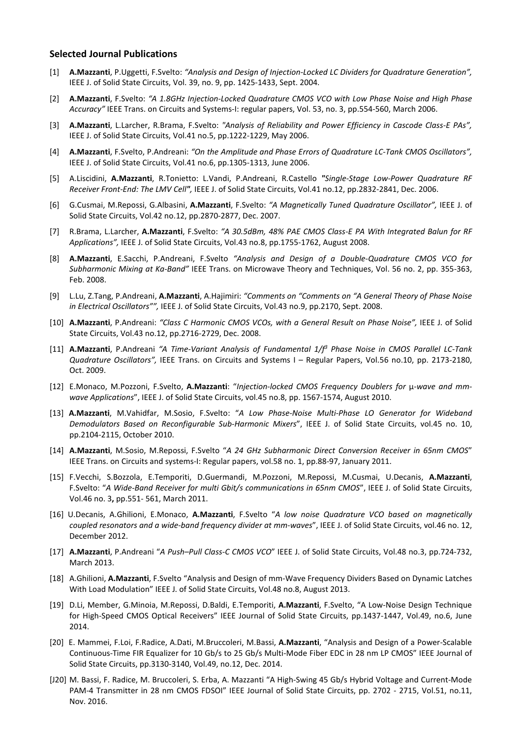## **Selected Journal Publications**

- [1] **A.Mazzanti**, P.Uggetti, F.Svelto: *"Analysis and Design of Injection-Locked LC Dividers for Quadrature Generation",*  IEEE J. of Solid State Circuits, Vol. 39, no. 9, pp. 1425-1433, Sept. 2004.
- [2] **A.Mazzanti**, F.Svelto: *"A 1.8GHz Injection-Locked Quadrature CMOS VCO with Low Phase Noise and High Phase Accuracy"* IEEE Trans. on Circuits and Systems-I: regular papers, Vol. 53, no. 3, pp.554-560, March 2006.
- [3] **A.Mazzanti**, L.Larcher, R.Brama, F.Svelto: *"Analysis of Reliability and Power Efficiency in Cascode Class-E PAs",*  IEEE J. of Solid State Circuits, Vol.41 no.5, pp.1222-1229, May 2006.
- [4] **A.Mazzanti**, F.Svelto, P.Andreani: *"On the Amplitude and Phase Errors of Quadrature LC-Tank CMOS Oscillators",*  IEEE J. of Solid State Circuits, Vol.41 no.6, pp.1305-1313, June 2006.
- [5] A.Liscidini, **A.Mazzanti**, R.Tonietto: L.Vandi, P.Andreani, R.Castello *"Single-Stage Low-Power Quadrature RF Receiver Front-End: The LMV Cell",* IEEE J. of Solid State Circuits, Vol.41 no.12, pp.2832-2841, Dec. 2006.
- [6] G.Cusmai, M.Repossi, G.Albasini, **A.Mazzanti**, F.Svelto: *"A Magnetically Tuned Quadrature Oscillator",* IEEE J. of Solid State Circuits, Vol.42 no.12, pp.2870-2877, Dec. 2007.
- [7] R.Brama, L.Larcher, **A.Mazzanti**, F.Svelto: *"A 30.5dBm, 48% PAE CMOS Class-E PA With Integrated Balun for RF Applications",* IEEE J. of Solid State Circuits, Vol.43 no.8, pp.1755-1762, August 2008.
- [8] **A.Mazzanti**, E.Sacchi, P.Andreani, F.Svelto *"Analysis and Design of a Double-Quadrature CMOS VCO for Subharmonic Mixing at Ka-Band"* IEEE Trans. on Microwave Theory and Techniques, Vol. 56 no. 2, pp. 355-363, Feb. 2008.
- [9] L.Lu, Z.Tang, P.Andreani, **A.Mazzanti**, A.Hajimiri: *"Comments on "Comments on "A General Theory of Phase Noise in Electrical Oscillators"",* IEEE J. of Solid State Circuits, Vol.43 no.9, pp.2170, Sept. 2008.
- [10] **A.Mazzanti**, P.Andreani: *"Class C Harmonic CMOS VCOs, with a General Result on Phase Noise",* IEEE J. of Solid State Circuits, Vol.43 no.12, pp.2716-2729, Dec. 2008.
- [11] **A.Mazzanti**, P.Andreani *"A Time-Variant Analysis of Fundamental 1/f3 Phase Noise in CMOS Parallel LC-Tank Quadrature Oscillators",* IEEE Trans. on Circuits and Systems I – Regular Papers, Vol.56 no.10, pp. 2173-2180, Oct. 2009.
- [12] E.Monaco, M.Pozzoni, F.Svelto, **A.Mazzanti**: "*Injection-locked CMOS Frequency Doublers for* μ*-wave and mmwave Applications*", IEEE J. of Solid State Circuits, vol.45 no.8, pp. 1567-1574, August 2010.
- [13] **A.Mazzanti**, M.Vahidfar, M.Sosio, F.Svelto: "*A Low Phase-Noise Multi-Phase LO Generator for Wideband Demodulators Based on Reconfigurable Sub-Harmonic Mixers*", IEEE J. of Solid State Circuits, vol.45 no. 10, pp.2104-2115, October 2010.
- [14] **A.Mazzanti**, M.Sosio, M.Repossi, F.Svelto "*A 24 GHz Subharmonic Direct Conversion Receiver in 65nm CMOS*" IEEE Trans. on Circuits and systems-I: Regular papers, vol.58 no. 1, pp.88-97, January 2011.
- [15] F.Vecchi, S.Bozzola, E.Temporiti, D.Guermandi, M.Pozzoni, M.Repossi, M.Cusmai, U.Decanis, **A.Mazzanti**, F.Svelto: "*A Wide-Band Receiver for multi Gbit/s communications in 65nm CMOS*", IEEE J. of Solid State Circuits, Vol.46 no. 3**,** pp.551- 561, March 2011.
- [16] U.Decanis, A.Ghilioni, E.Monaco, **A.Mazzanti**, F.Svelto "*A low noise Quadrature VCO based on magnetically coupled resonators and a wide-band frequency divider at mm-waves*", IEEE J. of Solid State Circuits, vol.46 no. 12, December 2012.
- [17] **A.Mazzanti**, P.Andreani "*A Push–Pull Class-C CMOS VCO*" IEEE J. of Solid State Circuits, Vol.48 no.3, pp.724-732, March 2013.
- [18] A.Ghilioni, **A.Mazzanti**, F.Svelto "Analysis and Design of mm-Wave Frequency Dividers Based on Dynamic Latches With Load Modulation" IEEE J. of Solid State Circuits, Vol.48 no.8, August 2013.
- [19] D.Li, Member, G.Minoia, M.Repossi, D.Baldi, E.Temporiti, **A.Mazzanti**, F.Svelto, "A Low-Noise Design Technique for High-Speed CMOS Optical Receivers" IEEE Journal of Solid State Circuits, pp.1437-1447, Vol.49, no.6, June 2014.
- [20] E. Mammei, F.Loi, F.Radice, A.Dati, M.Bruccoleri, M.Bassi, **A.Mazzanti**, "Analysis and Design of a Power-Scalable Continuous-Time FIR Equalizer for 10 Gb/s to 25 Gb/s Multi-Mode Fiber EDC in 28 nm LP CMOS" IEEE Journal of Solid State Circuits, pp.3130-3140, Vol.49, no.12, Dec. 2014.
- [J20] M. Bassi, F. Radice, M. Bruccoleri, S. Erba, A. Mazzanti "A High-Swing 45 Gb/s Hybrid Voltage and Current-Mode PAM-4 Transmitter in 28 nm CMOS FDSOI" IEEE Journal of Solid State Circuits, pp. 2702 - 2715, Vol.51, no.11, Nov. 2016.